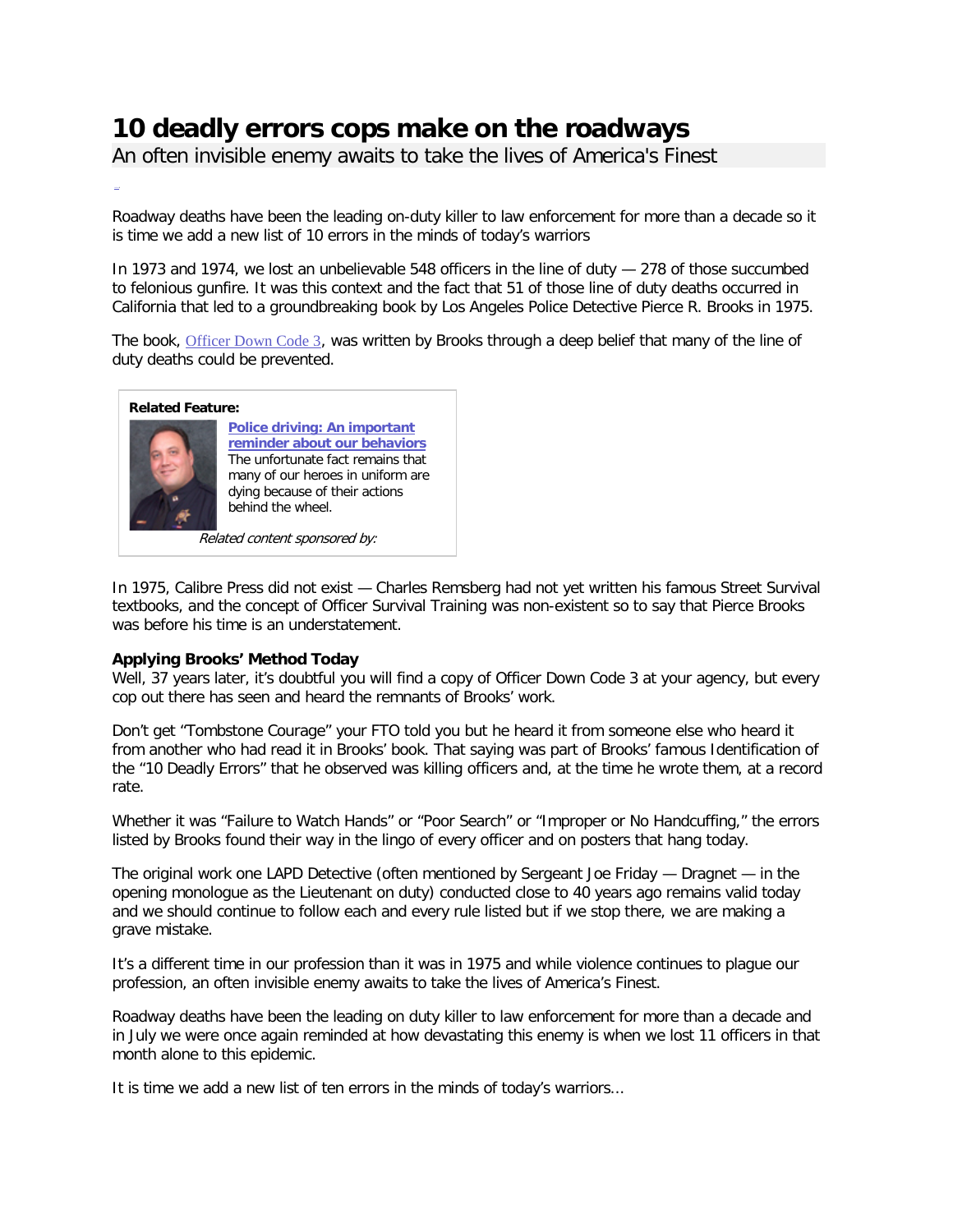# **10 deadly errors cops make on the roadways**

An often invisible enemy awaits to take the lives of America's Finest

Roadway deaths have been the leading on-duty killer to law enforcement for more than a decade so it is time we add a new list of 10 errors in the minds of today's warriors

In 1973 and 1974, we lost an unbelievable 548 officers in the line of duty — 278 of those succumbed to felonious gunfire. It was this context and the fact that 51 of those line of duty deaths occurred in California that led to a groundbreaking book by Los Angeles Police Detective Pierce R. Brooks in 1975.

The book, [Officer Down Code 3](http://goo.gl/y2puA), was written by Brooks through a deep belief that many of the line of duty deaths could be prevented.



In 1975, Calibre Press did not exist — Charles Remsberg had not yet written his famous Street Survival textbooks, and the concept of Officer Survival Training was non-existent so to say that Pierce Brooks was before his time is an understatement.

## **Applying Brooks' Method Today**

Well, 37 years later, it's doubtful you will find a copy of Officer Down Code 3 at your agency, but every cop out there has seen and heard the remnants of Brooks' work.

Don't get "Tombstone Courage" your FTO told you but he heard it from someone else who heard it from another who had read it in Brooks' book. That saying was part of Brooks' famous Identification of the "10 Deadly Errors" that he observed was killing officers and, at the time he wrote them, at a record rate.

Whether it was "Failure to Watch Hands" or "Poor Search" or "Improper or No Handcuffing," the errors listed by Brooks found their way in the lingo of every officer and on posters that hang today.

The original work one LAPD Detective (often mentioned by Sergeant Joe Friday — Dragnet — in the opening monologue as the Lieutenant on duty) conducted close to 40 years ago remains valid today and we should continue to follow each and every rule listed but if we stop there, we are making a grave mistake.

It's a different time in our profession than it was in 1975 and while violence continues to plague our profession, an often invisible enemy awaits to take the lives of America's Finest.

Roadway deaths have been the leading on duty killer to law enforcement for more than a decade and in July we were once again reminded at how devastating this enemy is when we lost 11 officers in that month alone to this epidemic.

It is time we add a new list of ten errors in the minds of today's warriors...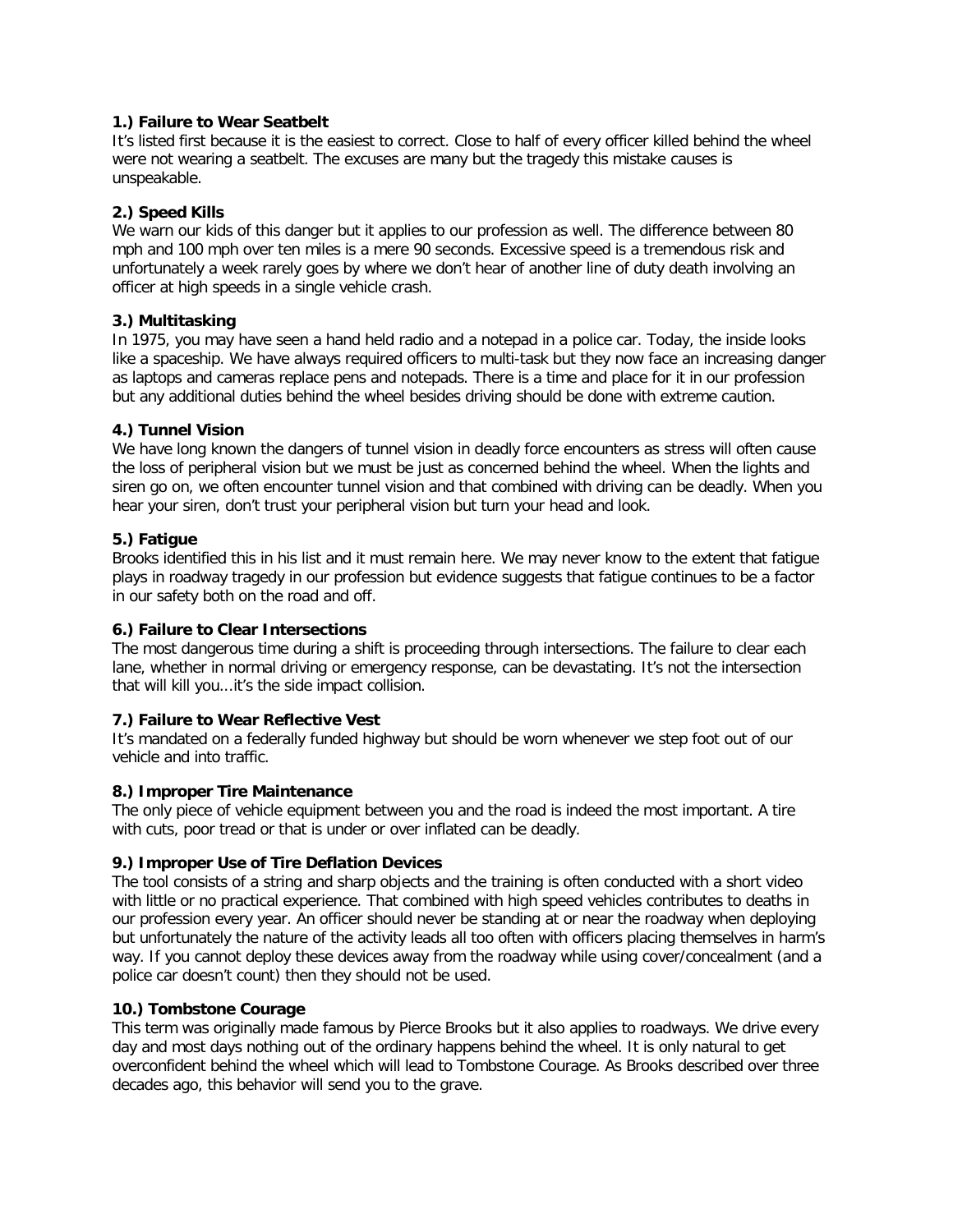#### **1.) Failure to Wear Seatbelt**

It's listed first because it is the easiest to correct. Close to half of every officer killed behind the wheel were not wearing a seatbelt. The excuses are many but the tragedy this mistake causes is unspeakable.

## **2.) Speed Kills**

We warn our kids of this danger but it applies to our profession as well. The difference between 80 mph and 100 mph over ten miles is a mere 90 seconds. Excessive speed is a tremendous risk and unfortunately a week rarely goes by where we don't hear of another line of duty death involving an officer at high speeds in a single vehicle crash.

## **3.) Multitasking**

In 1975, you may have seen a hand held radio and a notepad in a police car. Today, the inside looks like a spaceship. We have always required officers to multi-task but they now face an increasing danger as laptops and cameras replace pens and notepads. There is a time and place for it in our profession but any additional duties behind the wheel besides driving should be done with extreme caution.

## **4.) Tunnel Vision**

We have long known the dangers of tunnel vision in deadly force encounters as stress will often cause the loss of peripheral vision but we must be just as concerned behind the wheel. When the lights and siren go on, we often encounter tunnel vision and that combined with driving can be deadly. When you hear your siren, don't trust your peripheral vision but turn your head and look.

## **5.) Fatigue**

Brooks identified this in his list and it must remain here. We may never know to the extent that fatigue plays in roadway tragedy in our profession but evidence suggests that fatigue continues to be a factor in our safety both on the road and off.

## **6.) Failure to Clear Intersections**

The most dangerous time during a shift is proceeding through intersections. The failure to clear each lane, whether in normal driving or emergency response, can be devastating. It's not the intersection that will kill you...it's the side impact collision.

## **7.) Failure to Wear Reflective Vest**

It's mandated on a federally funded highway but should be worn whenever we step foot out of our vehicle and into traffic.

## **8.) Improper Tire Maintenance**

The only piece of vehicle equipment between you and the road is indeed the most important. A tire with cuts, poor tread or that is under or over inflated can be deadly.

## **9.) Improper Use of Tire Deflation Devices**

The tool consists of a string and sharp objects and the training is often conducted with a short video with little or no practical experience. That combined with high speed vehicles contributes to deaths in our profession every year. An officer should never be standing at or near the roadway when deploying but unfortunately the nature of the activity leads all too often with officers placing themselves in harm's way. If you cannot deploy these devices away from the roadway while using cover/concealment (and a police car doesn't count) then they should not be used.

## **10.) Tombstone Courage**

This term was originally made famous by Pierce Brooks but it also applies to roadways. We drive every day and most days nothing out of the ordinary happens behind the wheel. It is only natural to get overconfident behind the wheel which will lead to Tombstone Courage. As Brooks described over three decades ago, this behavior will send you to the grave.